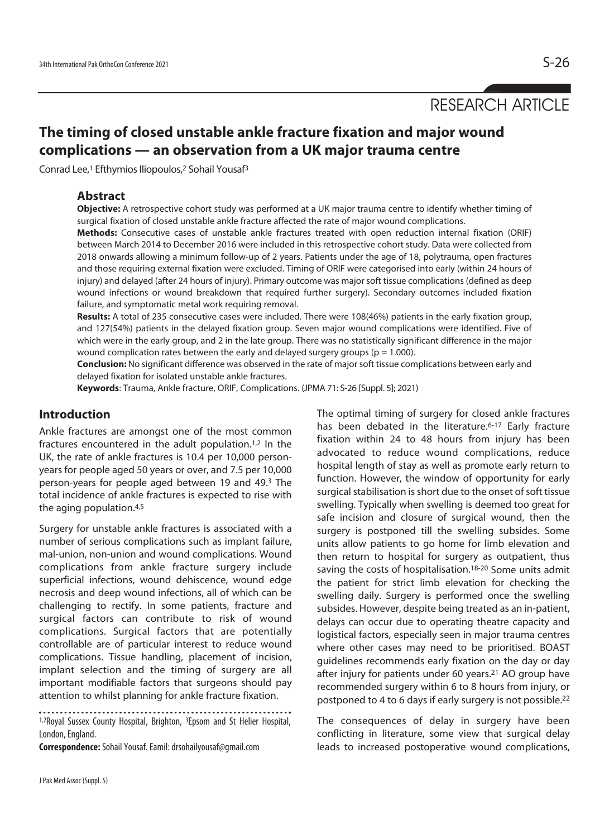RESEARCH ARTICLE

# **The timing of closed unstable ankle fracture fixation and major wound complications — an observation from a UK major trauma centre**

Conrad Lee,<sup>1</sup> Efthymios Iliopoulos,<sup>2</sup> Sohail Yousaf<sup>3</sup>

### **Abstract**

**Objective:** A retrospective cohort study was performed at a UK major trauma centre to identify whether timing of surgical fixation of closed unstable ankle fracture affected the rate of major wound complications.

**Methods:** Consecutive cases of unstable ankle fractures treated with open reduction internal fixation (ORIF) between March 2014 to December 2016 were included in this retrospective cohort study. Data were collected from 2018 onwards allowing a minimum follow-up of 2 years. Patients under the age of 18, polytrauma, open fractures and those requiring external fixation were excluded. Timing of ORIF were categorised into early (within 24 hours of injury) and delayed (after 24 hours of injury). Primary outcome was major soft tissue complications (defined as deep wound infections or wound breakdown that required further surgery). Secondary outcomes included fixation failure, and symptomatic metal work requiring removal.

**Results:** A total of 235 consecutive cases were included. There were 108(46%) patients in the early fixation group, and 127(54%) patients in the delayed fixation group. Seven major wound complications were identified. Five of which were in the early group, and 2 in the late group. There was no statistically significant difference in the major wound complication rates between the early and delayed surgery groups ( $p = 1.000$ ).

**Conclusion:** No significant difference was observed in the rate of major soft tissue complications between early and delayed fixation for isolated unstable ankle fractures.

**Keywords**: Trauma, Ankle fracture, ORIF, Complications. (JPMA 71: S-26 [Suppl. 5]; 2021)

## **Introduction**

Ankle fractures are amongst one of the most common fractures encountered in the adult population.1,2 In the UK, the rate of ankle fractures is 10.4 per 10,000 personyears for people aged 50 years or over, and 7.5 per 10,000 person-years for people aged between 19 and 49.3 The total incidence of ankle fractures is expected to rise with the aging population.4,5

Surgery for unstable ankle fractures is associated with a number of serious complications such as implant failure, mal-union, non-union and wound complications. Wound complications from ankle fracture surgery include superficial infections, wound dehiscence, wound edge necrosis and deep wound infections, all of which can be challenging to rectify. In some patients, fracture and surgical factors can contribute to risk of wound complications. Surgical factors that are potentially controllable are of particular interest to reduce wound complications. Tissue handling, placement of incision, implant selection and the timing of surgery are all important modifiable factors that surgeons should pay attention to whilst planning for ankle fracture fixation.

1,2Royal Sussex County Hospital, Brighton, <sup>3</sup>Epsom and St Helier Hospital, London, England.

**Correspondence:** Sohail Yousaf. Eamil: drsohailyousaf@gmail.com

The optimal timing of surgery for closed ankle fractures has been debated in the literature.<sup>6-17</sup> Early fracture fixation within 24 to 48 hours from injury has been advocated to reduce wound complications, reduce hospital length of stay as well as promote early return to function. However, the window of opportunity for early surgical stabilisation is short due to the onset of soft tissue swelling. Typically when swelling is deemed too great for safe incision and closure of surgical wound, then the surgery is postponed till the swelling subsides. Some units allow patients to go home for limb elevation and then return to hospital for surgery as outpatient, thus saving the costs of hospitalisation.18-20 Some units admit the patient for strict limb elevation for checking the swelling daily. Surgery is performed once the swelling subsides. However, despite being treated as an in-patient, delays can occur due to operating theatre capacity and logistical factors, especially seen in major trauma centres where other cases may need to be prioritised. BOAST guidelines recommends early fixation on the day or day after injury for patients under 60 years.21 AO group have recommended surgery within 6 to 8 hours from injury, or postponed to 4 to 6 days if early surgery is not possible.22

The consequences of delay in surgery have been conflicting in literature, some view that surgical delay leads to increased postoperative wound complications,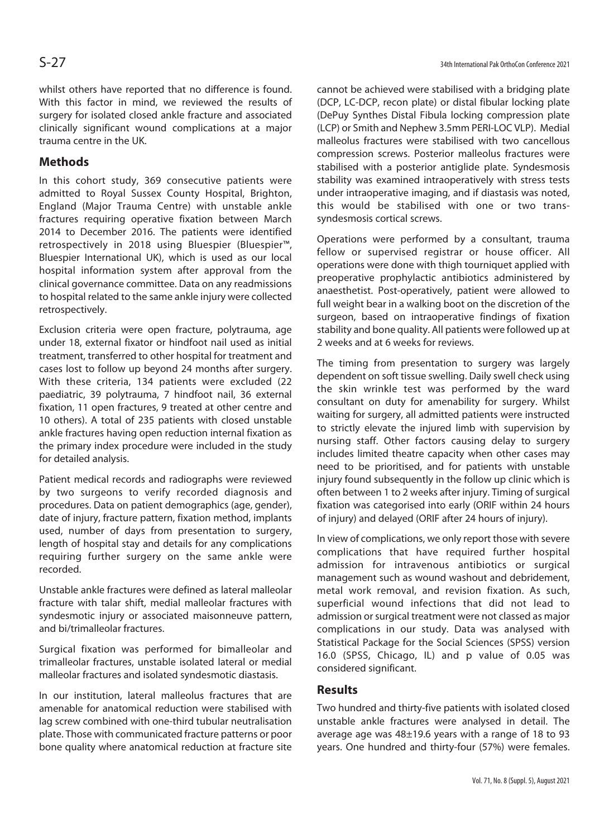whilst others have reported that no difference is found. With this factor in mind, we reviewed the results of surgery for isolated closed ankle fracture and associated clinically significant wound complications at a major trauma centre in the UK.

# **Methods**

In this cohort study, 369 consecutive patients were admitted to Royal Sussex County Hospital, Brighton, England (Major Trauma Centre) with unstable ankle fractures requiring operative fixation between March 2014 to December 2016. The patients were identified retrospectively in 2018 using Bluespier (Bluespier™, Bluespier International UK), which is used as our local hospital information system after approval from the clinical governance committee. Data on any readmissions to hospital related to the same ankle injury were collected retrospectively.

Exclusion criteria were open fracture, polytrauma, age under 18, external fixator or hindfoot nail used as initial treatment, transferred to other hospital for treatment and cases lost to follow up beyond 24 months after surgery. With these criteria, 134 patients were excluded (22 paediatric, 39 polytrauma, 7 hindfoot nail, 36 external fixation, 11 open fractures, 9 treated at other centre and 10 others). A total of 235 patients with closed unstable ankle fractures having open reduction internal fixation as the primary index procedure were included in the study for detailed analysis.

Patient medical records and radiographs were reviewed by two surgeons to verify recorded diagnosis and procedures. Data on patient demographics (age, gender), date of injury, fracture pattern, fixation method, implants used, number of days from presentation to surgery, length of hospital stay and details for any complications requiring further surgery on the same ankle were recorded.

Unstable ankle fractures were defined as lateral malleolar fracture with talar shift, medial malleolar fractures with syndesmotic injury or associated maisonneuve pattern, and bi/trimalleolar fractures.

Surgical fixation was performed for bimalleolar and trimalleolar fractures, unstable isolated lateral or medial malleolar fractures and isolated syndesmotic diastasis.

In our institution, lateral malleolus fractures that are amenable for anatomical reduction were stabilised with lag screw combined with one-third tubular neutralisation plate. Those with communicated fracture patterns or poor bone quality where anatomical reduction at fracture site

cannot be achieved were stabilised with a bridging plate (DCP, LC-DCP, recon plate) or distal fibular locking plate (DePuy Synthes Distal Fibula locking compression plate (LCP) or Smith and Nephew 3.5mm PERI-LOC VLP). Medial malleolus fractures were stabilised with two cancellous compression screws. Posterior malleolus fractures were stabilised with a posterior antiglide plate. Syndesmosis stability was examined intraoperatively with stress tests under intraoperative imaging, and if diastasis was noted, this would be stabilised with one or two transsyndesmosis cortical screws.

Operations were performed by a consultant, trauma fellow or supervised registrar or house officer. All operations were done with thigh tourniquet applied with preoperative prophylactic antibiotics administered by anaesthetist. Post-operatively, patient were allowed to full weight bear in a walking boot on the discretion of the surgeon, based on intraoperative findings of fixation stability and bone quality. All patients were followed up at 2 weeks and at 6 weeks for reviews.

The timing from presentation to surgery was largely dependent on soft tissue swelling. Daily swell check using the skin wrinkle test was performed by the ward consultant on duty for amenability for surgery. Whilst waiting for surgery, all admitted patients were instructed to strictly elevate the injured limb with supervision by nursing staff. Other factors causing delay to surgery includes limited theatre capacity when other cases may need to be prioritised, and for patients with unstable injury found subsequently in the follow up clinic which is often between 1 to 2 weeks after injury. Timing of surgical fixation was categorised into early (ORIF within 24 hours of injury) and delayed (ORIF after 24 hours of injury).

In view of complications, we only report those with severe complications that have required further hospital admission for intravenous antibiotics or surgical management such as wound washout and debridement, metal work removal, and revision fixation. As such, superficial wound infections that did not lead to admission or surgical treatment were not classed as major complications in our study. Data was analysed with Statistical Package for the Social Sciences (SPSS) version 16.0 (SPSS, Chicago, IL) and p value of 0.05 was considered significant.

### **Results**

Two hundred and thirty-five patients with isolated closed unstable ankle fractures were analysed in detail. The average age was 48±19.6 years with a range of 18 to 93 years. One hundred and thirty-four (57%) were females.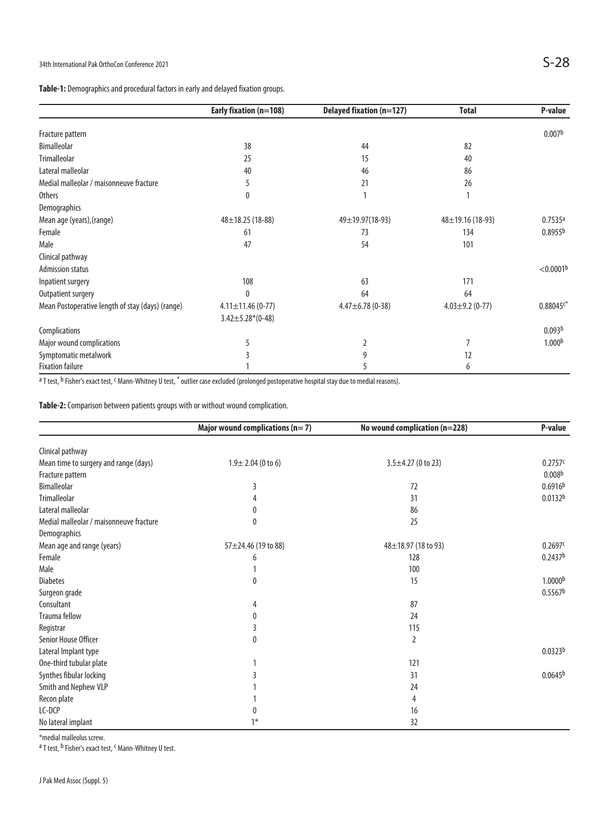# 34th International Pak OrthoCon Conference 2021  $S-28$

**Table-1:** Demographics and procedural factors in early and delayed fixation groups.

|                                                  | Early fixation (n=108)  | <b>Delayed fixation (n=127)</b> | <b>Total</b>           | P-value               |
|--------------------------------------------------|-------------------------|---------------------------------|------------------------|-----------------------|
|                                                  |                         |                                 |                        | 0.007 <sup>b</sup>    |
| Fracture pattern                                 |                         |                                 |                        |                       |
| <b>Bimalleolar</b>                               | 38                      | 44                              | 82                     |                       |
| <b>Trimalleolar</b>                              | 25                      | 15                              | 40                     |                       |
| Lateral malleolar                                | 40                      | 46                              | 86                     |                       |
| Medial malleolar / maisonneuve fracture          | 5                       | 21                              | 26                     |                       |
| <b>Others</b>                                    | 0                       |                                 |                        |                       |
| Demographics                                     |                         |                                 |                        |                       |
| Mean age (years), (range)                        | $48 \pm 18.25$ (18-88)  | 49±19.97(18-93)                 | $48 \pm 19.16$ (18-93) | 0.7535a               |
| Female                                           | 61                      | 73                              | 134                    | 0.8955 <sup>b</sup>   |
| Male                                             | 47                      | 54                              | 101                    |                       |
| Clinical pathway                                 |                         |                                 |                        |                       |
| <b>Admission status</b>                          |                         |                                 |                        | < 0.0001 <sup>b</sup> |
| Inpatient surgery                                | 108                     | 63                              | 171                    |                       |
| Outpatient surgery                               | $\mathbf{0}$            | 64                              | 64                     |                       |
| Mean Postoperative length of stay (days) (range) | $4.11 \pm 11.46$ (0-77) | $4.47 \pm 6.78$ (0-38)          | $4.03 \pm 9.2$ (0-77)  | $0.88045c*$           |
|                                                  | $3.42 \pm 5.28*(0-48)$  |                                 |                        |                       |
| Complications                                    |                         |                                 |                        | 0.093 <sup>b</sup>    |
| Major wound complications                        | 5                       | 2                               | 7                      | 1.000 <sup>b</sup>    |
| Symptomatic metalwork                            |                         | 9                               | 12                     |                       |
| <b>Fixation failure</b>                          |                         |                                 | 6                      |                       |

<sup>a</sup> T test, <sup>b</sup> Fisher's exact test, <sup>c</sup> Mann-Whitney U test, \* outlier case excluded (prolonged postoperative hospital stay due to medial reasons).

**Table-2:** Comparison between patients groups with or without wound complication.

|                                         | Major wound complications ( $n=7$ ) | No wound complication (n=228) | P-value             |  |
|-----------------------------------------|-------------------------------------|-------------------------------|---------------------|--|
| Clinical pathway                        |                                     |                               |                     |  |
| Mean time to surgery and range (days)   | $1.9 \pm 2.04$ (0 to 6)             | $3.5 \pm 4.27$ (0 to 23)      | 0.2757c             |  |
| Fracture pattern                        |                                     |                               | 0.008 <sup>b</sup>  |  |
| <b>Bimalleolar</b>                      | 3                                   | 72                            | 0.6916 <sup>b</sup> |  |
| <b>Trimalleolar</b>                     | 4                                   | 31                            | 0.0132 <sup>b</sup> |  |
| Lateral malleolar                       | 0                                   | 86                            |                     |  |
| Medial malleolar / maisonneuve fracture | 0                                   | 25                            |                     |  |
| Demographics                            |                                     |                               |                     |  |
| Mean age and range (years)              | 57±24.46 (19 to 88)                 | 48±18.97 (18 to 93)           | 0.2697c             |  |
| Female                                  | 6                                   | 128                           | 0.2437 <sup>b</sup> |  |
| Male                                    |                                     | 100                           |                     |  |
| <b>Diabetes</b>                         | 0                                   | 15                            | 1.0000 <sup>b</sup> |  |
| Surgeon grade                           |                                     |                               | 0.5567 <sup>b</sup> |  |
| Consultant                              | 4                                   | 87                            |                     |  |
| <b>Trauma fellow</b>                    | 0                                   | 24                            |                     |  |
| Registrar                               | 3                                   | 115                           |                     |  |
| Senior House Officer                    | $\mathbf{0}$                        | 2                             |                     |  |
| Lateral Implant type                    |                                     |                               | 0.0323 <sup>b</sup> |  |
| One-third tubular plate                 | 1                                   | 121                           |                     |  |
| Synthes fibular locking                 | 3                                   | 31                            | 0.0645 <sup>b</sup> |  |
| Smith and Nephew VLP                    |                                     | 24                            |                     |  |
| Recon plate                             |                                     | 4                             |                     |  |
| LC-DCP                                  | 0                                   | 16                            |                     |  |
| No lateral implant                      | $1*$                                | 32                            |                     |  |

\*medial malleolus screw.

<sup>a</sup> T test, <sup>b</sup> Fisher's exact test, <sup>c</sup> Mann-Whitney U test.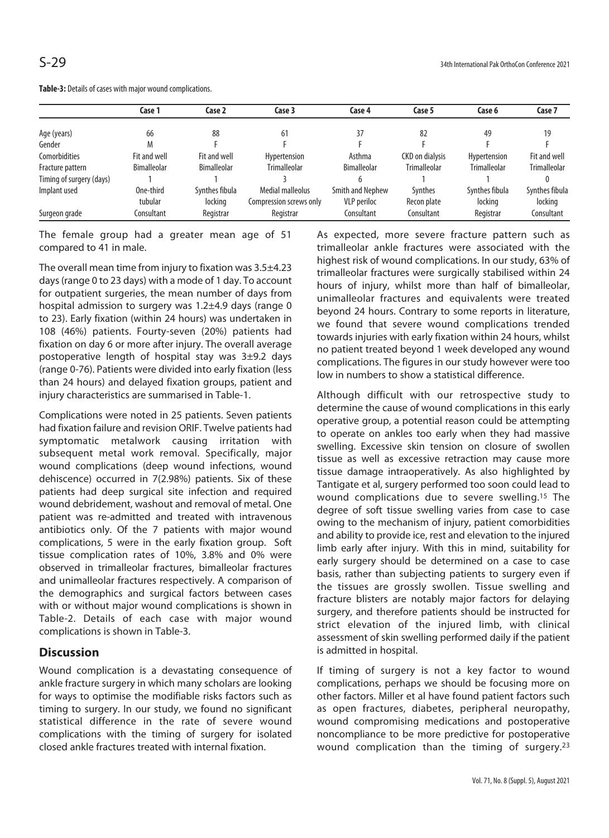|                          | Case 1             | Case 2             | Case 3                  | Case 4             | Case 5                 | Case 6              | Case 7              |
|--------------------------|--------------------|--------------------|-------------------------|--------------------|------------------------|---------------------|---------------------|
|                          |                    |                    |                         |                    |                        |                     |                     |
| Age (years)              | 66                 | 88                 | 61                      |                    | 82                     | 49                  | 19                  |
| Gender                   | M                  |                    |                         |                    |                        |                     |                     |
| Comorbidities            | Fit and well       | Fit and well       | Hypertension            | Asthma             | <b>CKD</b> on dialysis | Hypertension        | Fit and well        |
| Fracture pattern         | <b>Bimalleolar</b> | <b>Bimalleolar</b> | <b>Trimalleolar</b>     | <b>Bimalleolar</b> | <b>Trimalleolar</b>    | <b>Trimalleolar</b> | <b>Trimalleolar</b> |
| Timing of surgery (days) |                    |                    |                         |                    |                        |                     |                     |
| Implant used             | One-third          | Synthes fibula     | Medial malleolus        | Smith and Nephew   | Synthes                | Synthes fibula      | Synthes fibula      |
|                          | tubular            | locking            | Compression screws only | <b>VLP</b> periloc | Recon plate            | locking             | locking             |
| Surgeon grade            | Consultant         | Registrar          | Registrar               | Consultant         | Consultant             | Registrar           | Consultant          |

**Table-3:** Details of cases with major wound complications.

The female group had a greater mean age of 51 compared to 41 in male.

The overall mean time from injury to fixation was 3.5±4.23 days (range 0 to 23 days) with a mode of 1 day. To account for outpatient surgeries, the mean number of days from hospital admission to surgery was 1.2±4.9 days (range 0 to 23). Early fixation (within 24 hours) was undertaken in 108 (46%) patients. Fourty-seven (20%) patients had fixation on day 6 or more after injury. The overall average postoperative length of hospital stay was 3±9.2 days (range 0-76). Patients were divided into early fixation (less than 24 hours) and delayed fixation groups, patient and injury characteristics are summarised in Table-1.

Complications were noted in 25 patients. Seven patients had fixation failure and revision ORIF. Twelve patients had symptomatic metalwork causing irritation with subsequent metal work removal. Specifically, major wound complications (deep wound infections, wound dehiscence) occurred in 7(2.98%) patients. Six of these patients had deep surgical site infection and required wound debridement, washout and removal of metal. One patient was re-admitted and treated with intravenous antibiotics only. Of the 7 patients with major wound complications, 5 were in the early fixation group. Soft tissue complication rates of 10%, 3.8% and 0% were observed in trimalleolar fractures, bimalleolar fractures and unimalleolar fractures respectively. A comparison of the demographics and surgical factors between cases with or without major wound complications is shown in Table-2. Details of each case with major wound complications is shown in Table-3.

## **Discussion**

Wound complication is a devastating consequence of ankle fracture surgery in which many scholars are looking for ways to optimise the modifiable risks factors such as timing to surgery. In our study, we found no significant statistical difference in the rate of severe wound complications with the timing of surgery for isolated closed ankle fractures treated with internal fixation.

As expected, more severe fracture pattern such as trimalleolar ankle fractures were associated with the highest risk of wound complications. In our study, 63% of trimalleolar fractures were surgically stabilised within 24 hours of injury, whilst more than half of bimalleolar, unimalleolar fractures and equivalents were treated beyond 24 hours. Contrary to some reports in literature, we found that severe wound complications trended towards injuries with early fixation within 24 hours, whilst no patient treated beyond 1 week developed any wound complications. The figures in our study however were too low in numbers to show a statistical difference.

Although difficult with our retrospective study to determine the cause of wound complications in this early operative group, a potential reason could be attempting to operate on ankles too early when they had massive swelling. Excessive skin tension on closure of swollen tissue as well as excessive retraction may cause more tissue damage intraoperatively. As also highlighted by Tantigate et al, surgery performed too soon could lead to wound complications due to severe swelling.15 The degree of soft tissue swelling varies from case to case owing to the mechanism of injury, patient comorbidities and ability to provide ice, rest and elevation to the injured limb early after injury. With this in mind, suitability for early surgery should be determined on a case to case basis, rather than subjecting patients to surgery even if the tissues are grossly swollen. Tissue swelling and fracture blisters are notably major factors for delaying surgery, and therefore patients should be instructed for strict elevation of the injured limb, with clinical assessment of skin swelling performed daily if the patient is admitted in hospital.

If timing of surgery is not a key factor to wound complications, perhaps we should be focusing more on other factors. Miller et al have found patient factors such as open fractures, diabetes, peripheral neuropathy, wound compromising medications and postoperative noncompliance to be more predictive for postoperative wound complication than the timing of surgery.23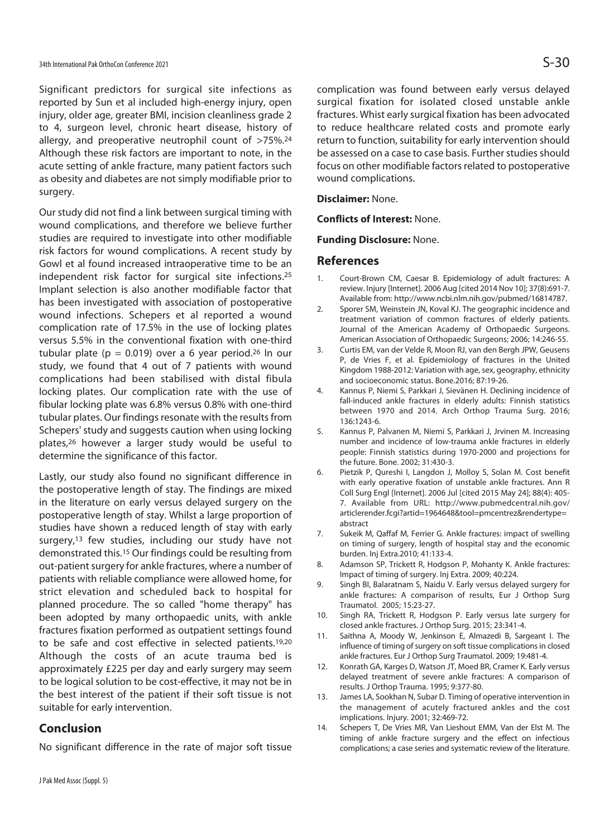Significant predictors for surgical site infections as reported by Sun et al included high-energy injury, open injury, older age, greater BMI, incision cleanliness grade 2 to 4, surgeon level, chronic heart disease, history of allergy, and preoperative neutrophil count of  $>75\%$ .<sup>24</sup> Although these risk factors are important to note, in the acute setting of ankle fracture, many patient factors such as obesity and diabetes are not simply modifiable prior to surgery.

Our study did not find a link between surgical timing with wound complications, and therefore we believe further studies are required to investigate into other modifiable risk factors for wound complications. A recent study by Gowl et al found increased intraoperative time to be an independent risk factor for surgical site infections.25 Implant selection is also another modifiable factor that has been investigated with association of postoperative wound infections. Schepers et al reported a wound complication rate of 17.5% in the use of locking plates versus 5.5% in the conventional fixation with one-third tubular plate ( $p = 0.019$ ) over a 6 year period.<sup>26</sup> In our study, we found that 4 out of 7 patients with wound complications had been stabilised with distal fibula locking plates. Our complication rate with the use of fibular locking plate was 6.8% versus 0.8% with one-third tubular plates. Our findings resonate with the results from Schepers' study and suggests caution when using locking plates,26 however a larger study would be useful to determine the significance of this factor.

Lastly, our study also found no significant difference in the postoperative length of stay. The findings are mixed in the literature on early versus delayed surgery on the postoperative length of stay. Whilst a large proportion of studies have shown a reduced length of stay with early surgery,<sup>13</sup> few studies, including our study have not demonstrated this.15 Our findings could be resulting from out-patient surgery for ankle fractures, where a number of patients with reliable compliance were allowed home, for strict elevation and scheduled back to hospital for planned procedure. The so called "home therapy" has been adopted by many orthopaedic units, with ankle fractures fixation performed as outpatient settings found to be safe and cost effective in selected patients.19,20 Although the costs of an acute trauma bed is approximately £225 per day and early surgery may seem to be logical solution to be cost-effective, it may not be in the best interest of the patient if their soft tissue is not suitable for early intervention.

### **Conclusion**

No significant difference in the rate of major soft tissue

complication was found between early versus delayed surgical fixation for isolated closed unstable ankle fractures. Whist early surgical fixation has been advocated to reduce healthcare related costs and promote early return to function, suitability for early intervention should be assessed on a case to case basis. Further studies should focus on other modifiable factors related to postoperative wound complications.

#### **Disclaimer:** None.

**Conflicts of Interest:** None.

#### **Funding Disclosure:** None.

#### **References**

- 1. Court-Brown CM, Caesar B. Epidemiology of adult fractures: A review. Injury [Internet]. 2006 Aug [cited 2014 Nov 10]; 37(8):691-7. Available from: http://www.ncbi.nlm.nih.gov/pubmed/16814787.
- 2. Sporer SM, Weinstein JN, Koval KJ. The geographic incidence and treatment variation of common fractures of elderly patients. Journal of the American Academy of Orthopaedic Surgeons. American Association of Orthopaedic Surgeons; 2006; 14:246-55.
- 3. Curtis EM, van der Velde R, Moon RJ, van den Bergh JPW, Geusens P, de Vries F, et al. Epidemiology of fractures in the United Kingdom 1988-2012: Variation with age, sex, geography, ethnicity and socioeconomic status. Bone.2016; 87:19-26.
- 4. Kannus P, Niemi S, Parkkari J, Sievänen H. Declining incidence of fall-induced ankle fractures in elderly adults: Finnish statistics between 1970 and 2014. Arch Orthop Trauma Surg. 2016; 136:1243-6.
- 5. Kannus P, Palvanen M, Niemi S, Parkkari J, Jrvinen M. Increasing number and incidence of low-trauma ankle fractures in elderly people: Finnish statistics during 1970-2000 and projections for the future. Bone. 2002; 31:430-3.
- 6. Pietzik P, Qureshi I, Langdon J, Molloy S, Solan M. Cost benefit with early operative fixation of unstable ankle fractures. Ann R Coll Surg Engl [Internet]. 2006 Jul [cited 2015 May 24]; 88(4): 405- 7. Available from URL: http://www.pubmedcentral.nih.gov/ articlerender.fcgi?artid=1964648&tool=pmcentrez&rendertype= abstract
- 7. Sukeik M, Qaffaf M, Ferrier G. Ankle fractures: impact of swelling on timing of surgery, length of hospital stay and the economic burden. Inj Extra.2010; 41:133-4.
- 8. Adamson SP, Trickett R, Hodgson P, Mohanty K. Ankle fractures: Impact of timing of surgery. Inj Extra. 2009; 40:224.
- 9. Singh BI, Balaratnam S, Naidu V. Early versus delayed surgery for ankle fractures: A comparison of results, Eur J Orthop Surg Traumatol. 2005; 15:23-27.
- 10. Singh RA, Trickett R, Hodgson P. Early versus late surgery for closed ankle fractures. J Orthop Surg. 2015; 23:341-4.
- 11. Saithna A, Moody W, Jenkinson E, Almazedi B, Sargeant I. The influence of timing of surgery on soft tissue complications in closed ankle fractures. Eur J Orthop Surg Traumatol. 2009; 19:481-4.
- 12. Konrath GA, Karges D, Watson JT, Moed BR, Cramer K. Early versus delayed treatment of severe ankle fractures: A comparison of results. J Orthop Trauma. 1995; 9:377-80.
- 13. James LA, Sookhan N, Subar D. Timing of operative intervention in the management of acutely fractured ankles and the cost implications. Injury. 2001; 32:469-72.
- 14. Schepers T, De Vries MR, Van Lieshout EMM, Van der Elst M. The timing of ankle fracture surgery and the effect on infectious complications; a case series and systematic review of the literature.